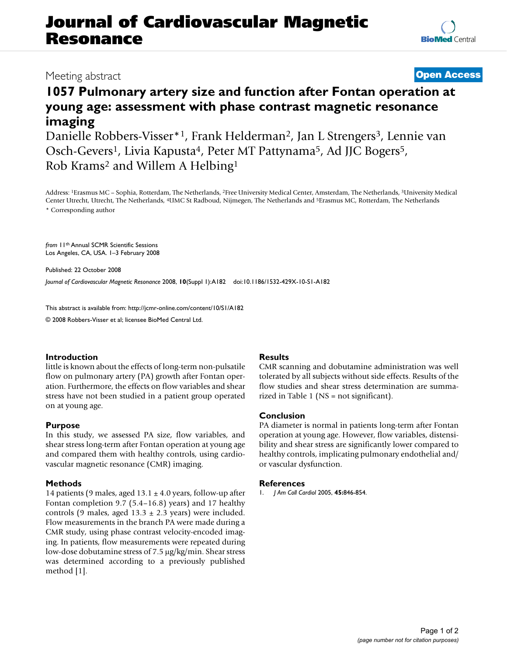# **Journal of Cardiovascular Magnetic Resonance**

### Meeting abstract **[Open Access](http://www.biomedcentral.com/info/about/charter/)**

## **1057 Pulmonary artery size and function after Fontan operation at young age: assessment with phase contrast magnetic resonance imaging**

Danielle Robbers-Visser<sup>\*1</sup>, Frank Helderman<sup>2</sup>, Jan L Strengers<sup>3</sup>, Lennie van Osch-Gevers<sup>1</sup>, Livia Kapusta<sup>4</sup>, Peter MT Pattynama<sup>5</sup>, Ad JJC Bogers<sup>5</sup>, Rob Krams2 and Willem A Helbing1

Address: 1Erasmus MC – Sophia, Rotterdam, The Netherlands, 2Free University Medical Center, Amsterdam, The Netherlands, 3University Medical Center Utrecht, Utrecht, The Netherlands, 4UMC St Radboud, Nijmegen, The Netherlands and 5Erasmus MC, Rotterdam, The Netherlands \* Corresponding author

*from* 11th Annual SCMR Scientific Sessions Los Angeles, CA, USA. 1–3 February 2008

Published: 22 October 2008 *Journal of Cardiovascular Magnetic Resonance* 2008, **10**(Suppl 1):A182 doi:10.1186/1532-429X-10-S1-A182

[This abstract is available from: http://jcmr-online.com/content/10/S1/A182](http://jcmr-online.com/content/10/S1/A182)

© 2008 Robbers-Visser et al; licensee BioMed Central Ltd.

#### **Introduction**

little is known about the effects of long-term non-pulsatile flow on pulmonary artery (PA) growth after Fontan operation. Furthermore, the effects on flow variables and shear stress have not been studied in a patient group operated on at young age.

#### **Purpose**

In this study, we assessed PA size, flow variables, and shear stress long-term after Fontan operation at young age and compared them with healthy controls, using cardiovascular magnetic resonance (CMR) imaging.

#### **Methods**

14 patients (9 males, aged  $13.1 \pm 4.0$  years, follow-up after Fontan completion 9.7 (5.4–16.8) years) and 17 healthy controls (9 males, aged  $13.3 \pm 2.3$  years) were included. Flow measurements in the branch PA were made during a CMR study, using phase contrast velocity-encoded imaging. In patients, flow measurements were repeated during low-dose dobutamine stress of 7.5 μg/kg/min. Shear stress was determined according to a previously published method [1].

#### **Results**

CMR scanning and dobutamine administration was well tolerated by all subjects without side effects. Results of the flow studies and shear stress determination are summarized in Table 1 (NS = not significant).

#### **Conclusion**

PA diameter is normal in patients long-term after Fontan operation at young age. However, flow variables, distensibility and shear stress are significantly lower compared to healthy controls, implicating pulmonary endothelial and/ or vascular dysfunction.

#### **References**

1. *J Am Coll Cardiol* 2005, **45:**846-854.